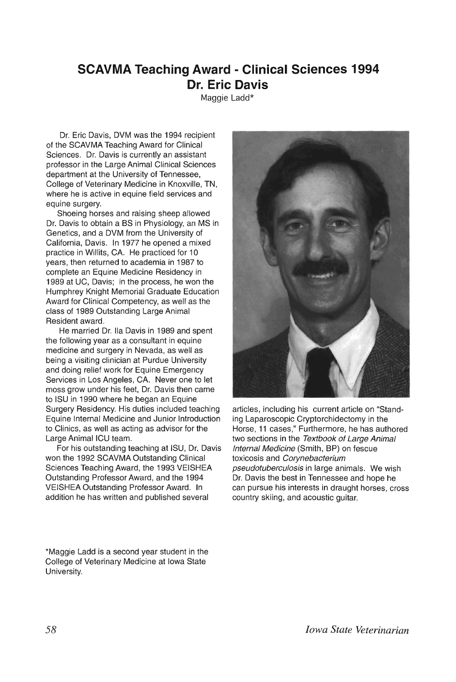## **SCAVMA Teaching Award - Clinical Sciences 1994 Dr. Eric Davis**

Maggie Ladd\*

Dr. Eric Davis, DVM was the 1994 recipient of the SCAVMA Teaching Award for Clinical Sciences. Dr. Davis is currently an assistant professor in the Large Animal Clinical Sciences department at the University of Tennessee, College of Veterinary Medicine in Knoxville, TN, where he is active in equine field services and equine surgery.

Shoeing horses and raising sheep allowed Dr. Davis to obtain a BS in Physiology, an MS in Genetics, and a DVM from the University of California, Davis. In 1977 he opened a mixed practice in Willits, CA. He practiced for 10 years, then returned to academia in 1987 to complete an Equine Medicine Residency in 1989 at UC, Davis; in the process, he won the Humphrey Knight Memorial Graduate Education Award for Clinical Competency, as well as the class of 1989 Outstanding Large Animal Resident award.

He married Dr. Iia Davis in 1989 and spent the following year as a consultant in equine medicine and surgery in Nevada, as well as being a visiting clinician at Purdue University and doing relief work for Equine Emergency Services in Los Angeles, CA. Never one to let moss grow under his feet, Dr. Davis then came to ISU in 1990 where he began an Equine Surgery Residency. His duties included teaching Equine Internal Medicine and Junior Introduction to Clinics, as well as acting as advisor for the Large Animal ICU team.

For his outstanding teaching at ISU, Dr. Davis won the 1992 SCAVMA Outstanding Clinical Sciences Teaching Award, the 1993 VEISHEA Outstanding Professor Award, and the 1994 VEISHEA Outstanding Professor Award. In addition he has written and published several

\*Maggie Ladd is a second year student in the College of Veterinary Medicine at Iowa State University.



articles, including his current article on "Standing Laparoscopic Cryptorchidectomy in the Horse, 11 cases," Furthermore, he has authored two sections in the Textbook of Large Animal Internal Medicine (Smith, BP) on fescue toxicosis and Corynebacterium pseudotuberculosis in large animals. We wish Dr. Davis the best in Tennessee and hope he can pursue his interests in draught horses, cross country skiing, and acoustic guitar.